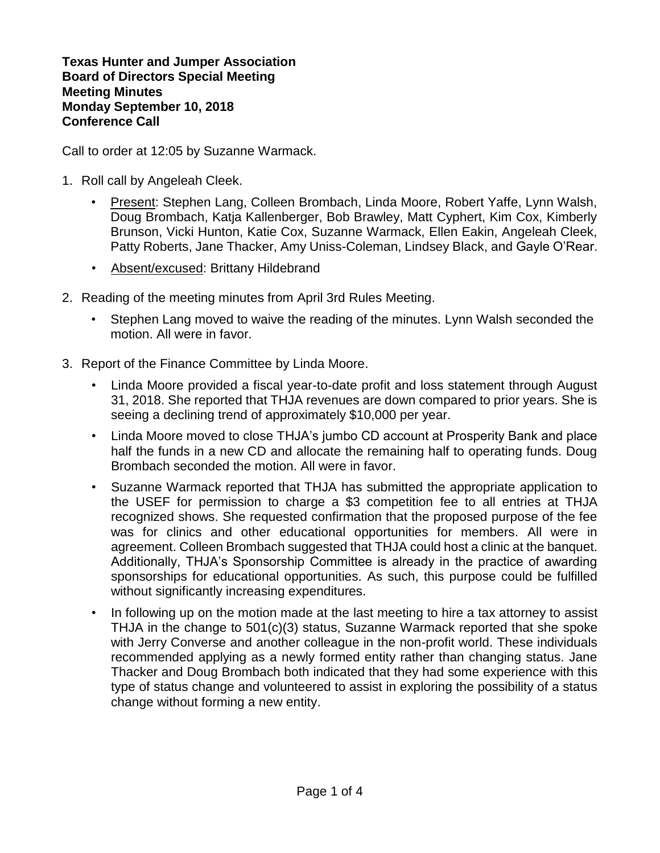**Texas Hunter and Jumper Association Board of Directors Special Meeting Meeting Minutes Monday September 10, 2018 Conference Call**

Call to order at 12:05 by Suzanne Warmack.

- 1. Roll call by Angeleah Cleek.
	- Present: Stephen Lang, Colleen Brombach, Linda Moore, Robert Yaffe, Lynn Walsh, Doug Brombach, Katja Kallenberger, Bob Brawley, Matt Cyphert, Kim Cox, Kimberly Brunson, Vicki Hunton, Katie Cox, Suzanne Warmack, Ellen Eakin, Angeleah Cleek, Patty Roberts, Jane Thacker, Amy Uniss-Coleman, Lindsey Black, and Gayle O'Rear.
	- Absent/excused: Brittany Hildebrand
- 2. Reading of the meeting minutes from April 3rd Rules Meeting.
	- Stephen Lang moved to waive the reading of the minutes. Lynn Walsh seconded the motion. All were in favor.
- 3. Report of the Finance Committee by Linda Moore.
	- Linda Moore provided a fiscal year-to-date profit and loss statement through August 31, 2018. She reported that THJA revenues are down compared to prior years. She is seeing a declining trend of approximately \$10,000 per year.
	- Linda Moore moved to close THJA's jumbo CD account at Prosperity Bank and place half the funds in a new CD and allocate the remaining half to operating funds. Doug Brombach seconded the motion. All were in favor.
	- Suzanne Warmack reported that THJA has submitted the appropriate application to the USEF for permission to charge a \$3 competition fee to all entries at THJA recognized shows. She requested confirmation that the proposed purpose of the fee was for clinics and other educational opportunities for members. All were in agreement. Colleen Brombach suggested that THJA could host a clinic at the banquet. Additionally, THJA's Sponsorship Committee is already in the practice of awarding sponsorships for educational opportunities. As such, this purpose could be fulfilled without significantly increasing expenditures.
	- In following up on the motion made at the last meeting to hire a tax attorney to assist THJA in the change to 501(c)(3) status, Suzanne Warmack reported that she spoke with Jerry Converse and another colleague in the non-profit world. These individuals recommended applying as a newly formed entity rather than changing status. Jane Thacker and Doug Brombach both indicated that they had some experience with this type of status change and volunteered to assist in exploring the possibility of a status change without forming a new entity.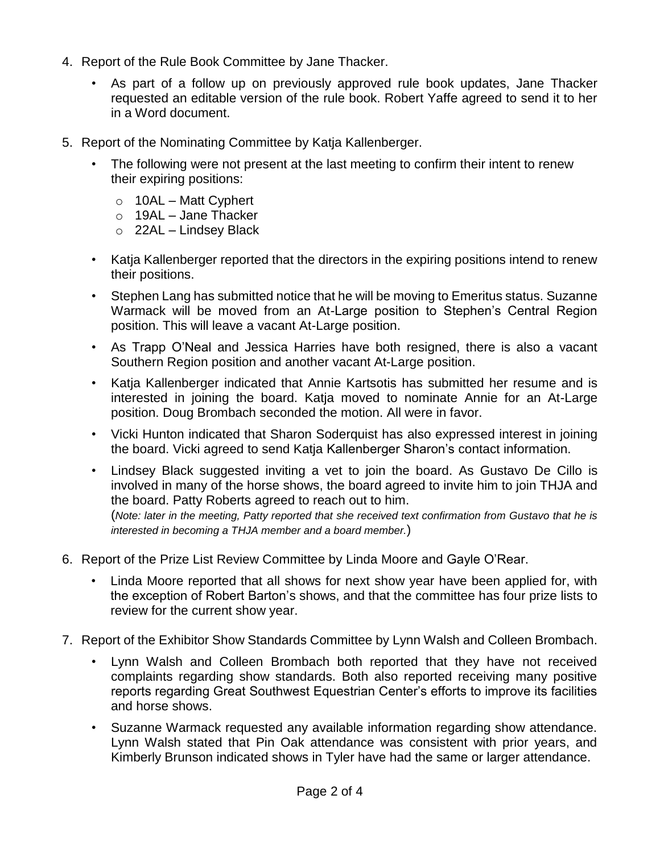- 4. Report of the Rule Book Committee by Jane Thacker.
	- As part of a follow up on previously approved rule book updates, Jane Thacker requested an editable version of the rule book. Robert Yaffe agreed to send it to her in a Word document.
- 5. Report of the Nominating Committee by Katja Kallenberger.
	- The following were not present at the last meeting to confirm their intent to renew their expiring positions:
		- $\circ$  10AL Matt Cyphert
		- $\circ$  19AL Jane Thacker
		- $\circ$  22AL Lindsey Black
	- Katja Kallenberger reported that the directors in the expiring positions intend to renew their positions.
	- Stephen Lang has submitted notice that he will be moving to Emeritus status. Suzanne Warmack will be moved from an At-Large position to Stephen's Central Region position. This will leave a vacant At-Large position.
	- As Trapp O'Neal and Jessica Harries have both resigned, there is also a vacant Southern Region position and another vacant At-Large position.
	- Katja Kallenberger indicated that Annie Kartsotis has submitted her resume and is interested in joining the board. Katja moved to nominate Annie for an At-Large position. Doug Brombach seconded the motion. All were in favor.
	- Vicki Hunton indicated that Sharon Soderquist has also expressed interest in joining the board. Vicki agreed to send Katja Kallenberger Sharon's contact information.
	- Lindsey Black suggested inviting a vet to join the board. As Gustavo De Cillo is involved in many of the horse shows, the board agreed to invite him to join THJA and the board. Patty Roberts agreed to reach out to him. (*Note: later in the meeting, Patty reported that she received text confirmation from Gustavo that he is interested in becoming a THJA member and a board member.*)
- 6. Report of the Prize List Review Committee by Linda Moore and Gayle O'Rear.
	- Linda Moore reported that all shows for next show year have been applied for, with the exception of Robert Barton's shows, and that the committee has four prize lists to review for the current show year.
- 7. Report of the Exhibitor Show Standards Committee by Lynn Walsh and Colleen Brombach.
	- Lynn Walsh and Colleen Brombach both reported that they have not received complaints regarding show standards. Both also reported receiving many positive reports regarding Great Southwest Equestrian Center's efforts to improve its facilities and horse shows.
	- Suzanne Warmack requested any available information regarding show attendance. Lynn Walsh stated that Pin Oak attendance was consistent with prior years, and Kimberly Brunson indicated shows in Tyler have had the same or larger attendance.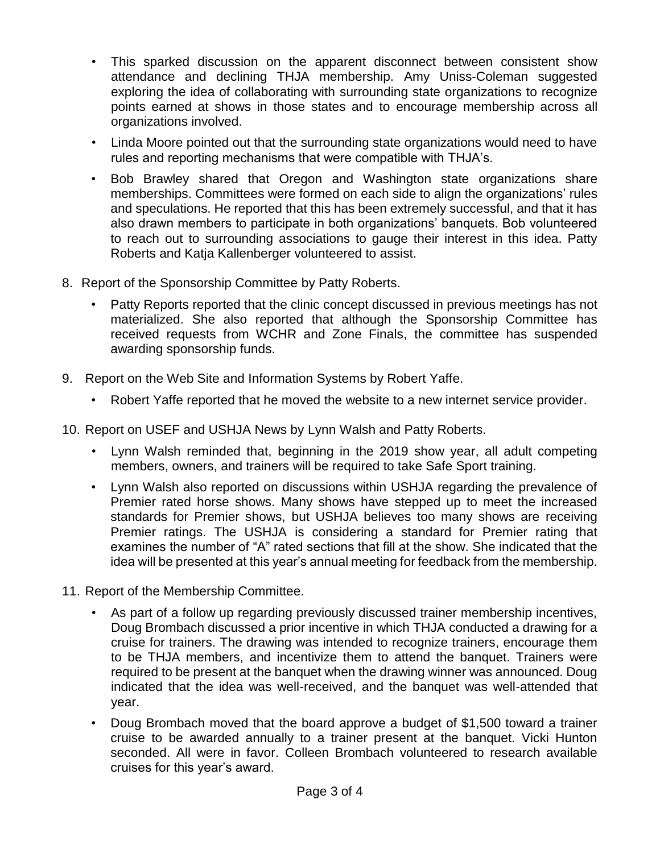- This sparked discussion on the apparent disconnect between consistent show attendance and declining THJA membership. Amy Uniss-Coleman suggested exploring the idea of collaborating with surrounding state organizations to recognize points earned at shows in those states and to encourage membership across all organizations involved.
- Linda Moore pointed out that the surrounding state organizations would need to have rules and reporting mechanisms that were compatible with THJA's.
- Bob Brawley shared that Oregon and Washington state organizations share memberships. Committees were formed on each side to align the organizations' rules and speculations. He reported that this has been extremely successful, and that it has also drawn members to participate in both organizations' banquets. Bob volunteered to reach out to surrounding associations to gauge their interest in this idea. Patty Roberts and Katja Kallenberger volunteered to assist.
- 8. Report of the Sponsorship Committee by Patty Roberts.
	- Patty Reports reported that the clinic concept discussed in previous meetings has not materialized. She also reported that although the Sponsorship Committee has received requests from WCHR and Zone Finals, the committee has suspended awarding sponsorship funds.
- 9. Report on the Web Site and Information Systems by Robert Yaffe.
	- Robert Yaffe reported that he moved the website to a new internet service provider.
- 10. Report on USEF and USHJA News by Lynn Walsh and Patty Roberts.
	- Lynn Walsh reminded that, beginning in the 2019 show year, all adult competing members, owners, and trainers will be required to take Safe Sport training.
	- Lynn Walsh also reported on discussions within USHJA regarding the prevalence of Premier rated horse shows. Many shows have stepped up to meet the increased standards for Premier shows, but USHJA believes too many shows are receiving Premier ratings. The USHJA is considering a standard for Premier rating that examines the number of "A" rated sections that fill at the show. She indicated that the idea will be presented at this year's annual meeting for feedback from the membership.
- 11. Report of the Membership Committee.
	- As part of a follow up regarding previously discussed trainer membership incentives, Doug Brombach discussed a prior incentive in which THJA conducted a drawing for a cruise for trainers. The drawing was intended to recognize trainers, encourage them to be THJA members, and incentivize them to attend the banquet. Trainers were required to be present at the banquet when the drawing winner was announced. Doug indicated that the idea was well-received, and the banquet was well-attended that year.
	- Doug Brombach moved that the board approve a budget of \$1,500 toward a trainer cruise to be awarded annually to a trainer present at the banquet. Vicki Hunton seconded. All were in favor. Colleen Brombach volunteered to research available cruises for this year's award.